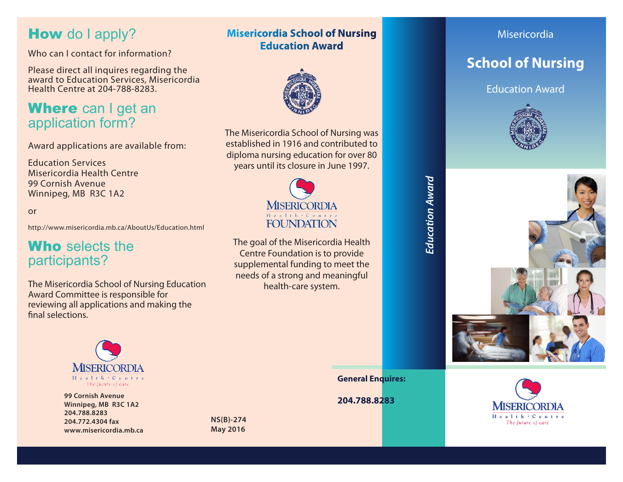## How do I apply?

Who can I contact for information?

Please direct all inquires regarding the award to Education Services, Misericordia Health Centre at 204-788-8283.

## Where can I get an application form?

Award applications are available from:

Education Services Misericordia Health Centre 99 Cornish Avenue Winnipeg, MB R3C 1A2

or

http://www.misericordia.mb.ca/AboutUs/Education.html

## Who selects the participants?

The Misericordia School of Nursing Education Award Committee is responsible for reviewing all applications and making the final selections.



**204.788.8283 99 Cornish Avenue Winnipeg, MB R3C 1A2 204.788.8283 204.772.4304 fax www.misericordia.mb.ca**

**NS(B)-274 May 2016**

### **Misericordia School of Nursing Education Award**



The Misericordia School of Nursing was established in 1916 and contributed to diploma nursing education for over 80 years until its closure in June 1997.



The goal of the Misericordia Health Centre Foundation is to provide supplemental funding to meet the needs of a strong and meaningful health-care system.

Misericordia

## **School of Nursing**

Education Award





**General Enquires:**

*Education Award*

Education Award